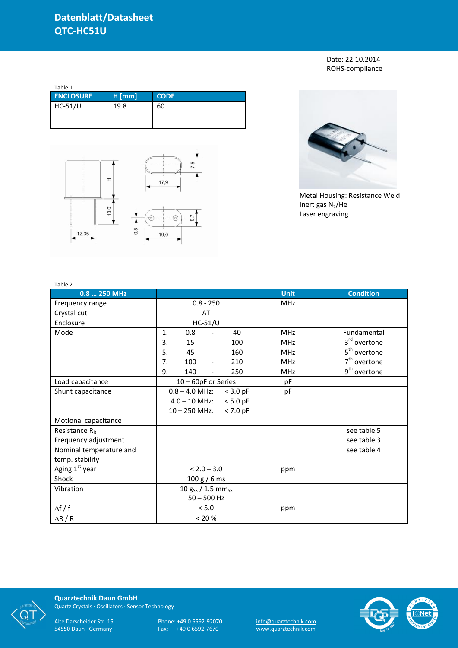Date: 22.10.2014 ROHS-compliance

| Table 1          |          |             |  |  |  |  |
|------------------|----------|-------------|--|--|--|--|
| <b>ENCLOSURE</b> | $H$ [mm] | <b>CODE</b> |  |  |  |  |
| HC-51/U          | 19.8     | 60          |  |  |  |  |





Metal Housing: Resistance Weld Inert gas  $N_2$ /He Laser engraving

| Table 2                    |                                              |             |                          |
|----------------------------|----------------------------------------------|-------------|--------------------------|
| 0.8  250 MHz               |                                              | <b>Unit</b> | <b>Condition</b>         |
| Frequency range            | $0.8 - 250$                                  | MHz         |                          |
| Crystal cut                | AT                                           |             |                          |
| Enclosure                  | $HC-51/U$                                    |             |                          |
| Mode                       | 0.8<br>40<br>1.<br>$\overline{\phantom{a}}$  | <b>MHz</b>  | Fundamental              |
|                            | 3.<br>15<br>100<br>$\overline{\phantom{a}}$  | MHz         | 3 <sup>rd</sup> overtone |
|                            | 5.<br>45<br>160<br>$\blacksquare$            | <b>MHz</b>  | 5 <sup>th</sup> overtone |
|                            | 7.<br>100<br>210<br>$\overline{\phantom{a}}$ | <b>MHz</b>  | $7th$ overtone           |
|                            | 9.<br>140<br>250<br>$\overline{\phantom{a}}$ | <b>MHz</b>  | 9 <sup>th</sup> overtone |
| Load capacitance           | 10 - 60pF or Series                          | pF          |                          |
| Shunt capacitance          | $0.8 - 4.0$ MHz:<br>$<$ 3.0 pF               | pF          |                          |
|                            | $4.0 - 10$ MHz: < 5.0 pF                     |             |                          |
|                            | $10 - 250$ MHz:<br>$< 7.0$ pF                |             |                          |
| Motional capacitance       |                                              |             |                          |
| Resistance $R_R$           |                                              |             | see table 5              |
| Frequency adjustment       |                                              |             | see table 3              |
| Nominal temperature and    |                                              |             | see table 4              |
| temp. stability            |                                              |             |                          |
| Aging 1 <sup>st</sup> year | $< 2.0 - 3.0$                                | ppm         |                          |
| Shock                      | 100 g / 6 ms                                 |             |                          |
| Vibration                  | 10 $g_{SS}$ / 1.5 mm <sub>ss</sub>           |             |                          |
|                            | $50 - 500$ Hz                                |             |                          |
| $\Delta f / f$             | < 5.0                                        | ppm         |                          |
| $\Delta$ R / R             | $< 20 \%$                                    |             |                          |



**Quarztechnik Daun GmbH** Quartz Crystals · Oscillators · Sensor Technology

Alte Darscheider Str. 15 Phone: +49 0 6592-92070 <u>info@quarztechnik.com</u> 54550 Daun · Germany Fax: +49 0 6592-7670 www.quarztechnik.com